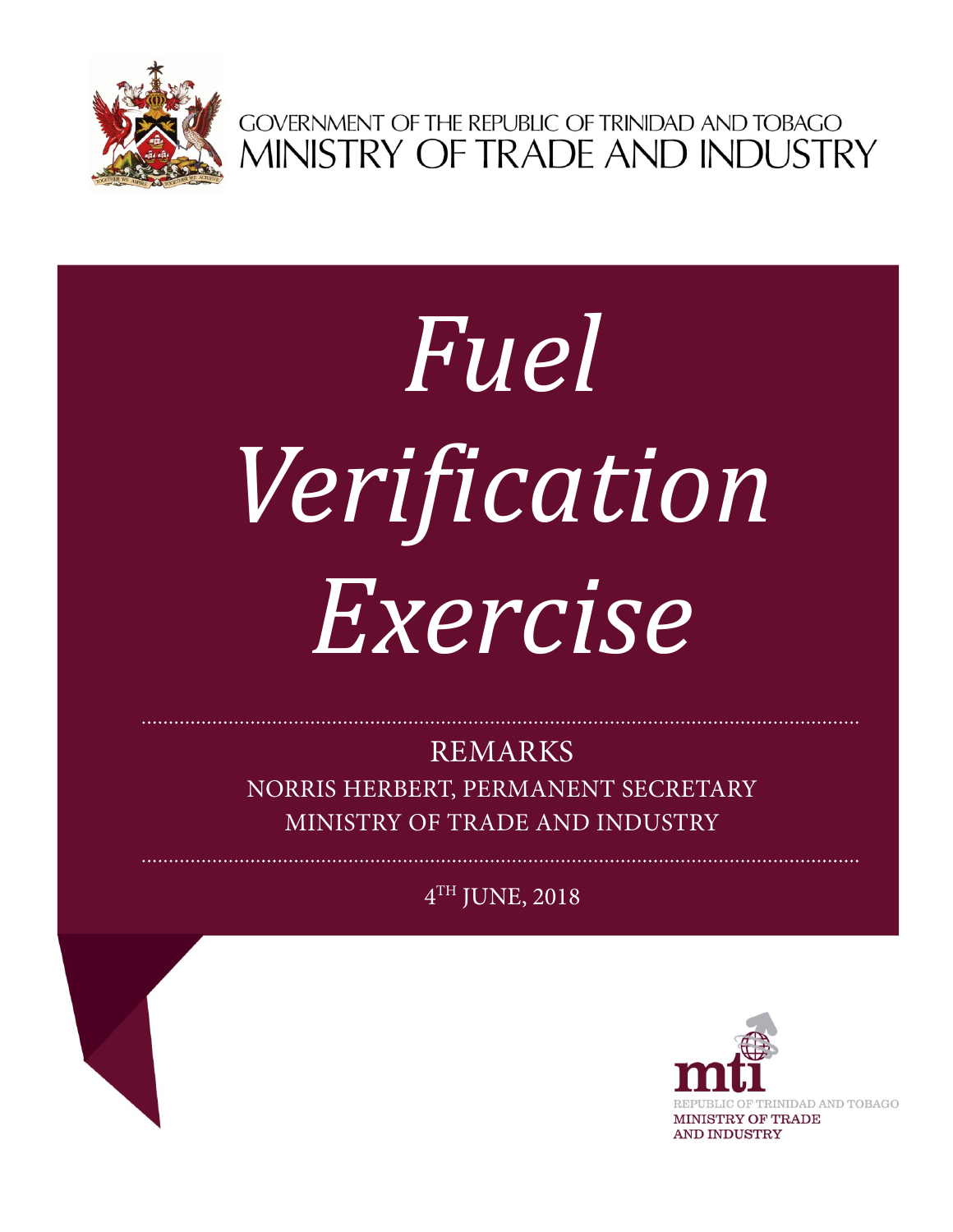

GOVERNMENT OF THE REPUBLIC OF TRINIDAD AND TOBAGO<br>MINISTRY OF TRADE AND INDUSTRY

## *Fuel Verification Exercise*

REMARKS

NORRIS HERBERT, PERMANENT SECRETARY MINISTRY OF TRADE AND INDUSTRY

 $4<sup>TH</sup>$  JUNE, 2018

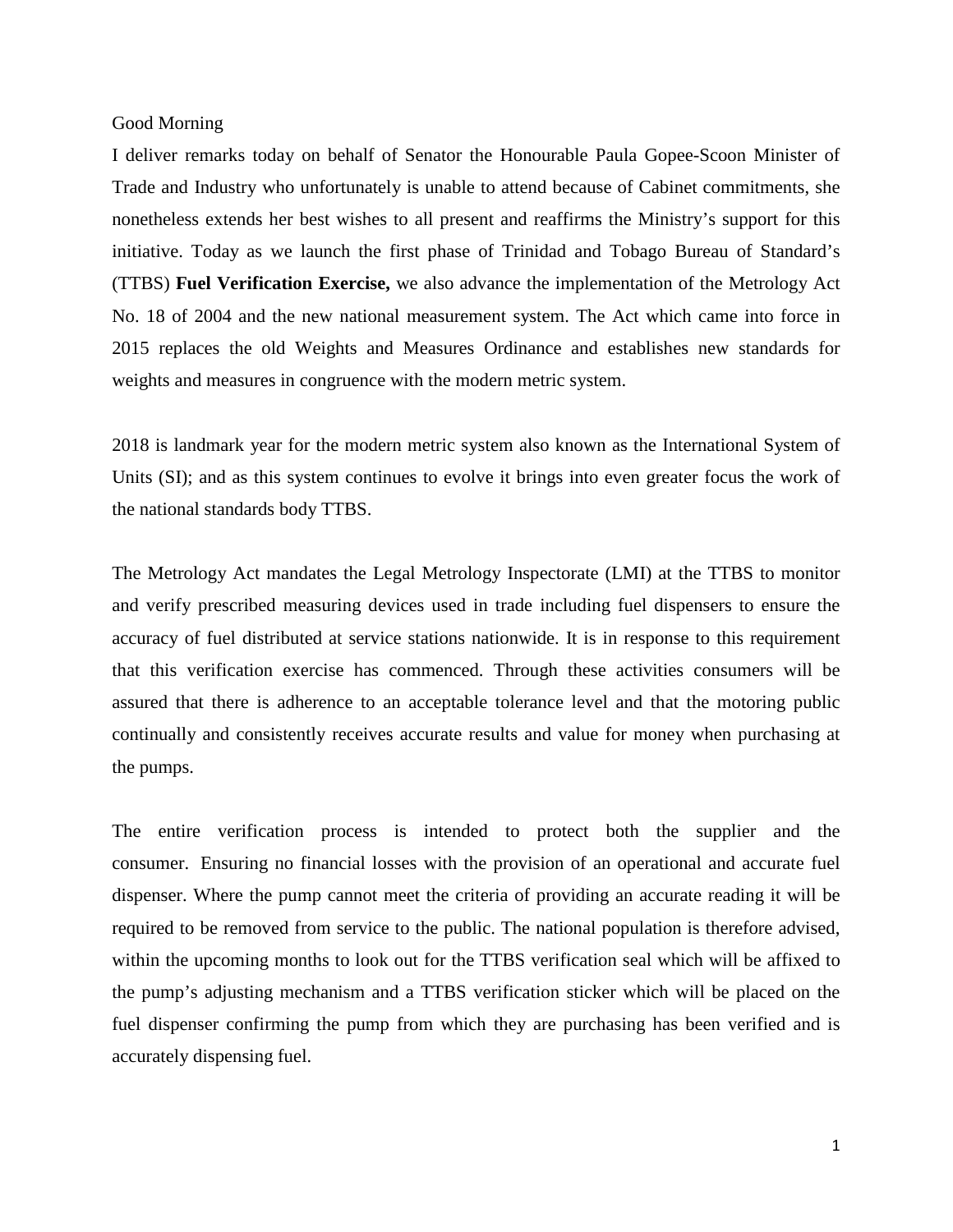## Good Morning

I deliver remarks today on behalf of Senator the Honourable Paula Gopee-Scoon Minister of Trade and Industry who unfortunately is unable to attend because of Cabinet commitments, she nonetheless extends her best wishes to all present and reaffirms the Ministry's support for this initiative. Today as we launch the first phase of Trinidad and Tobago Bureau of Standard's (TTBS) **Fuel Verification Exercise,** we also advance the implementation of the Metrology Act No. 18 of 2004 and the new national measurement system. The Act which came into force in 2015 replaces the old Weights and Measures Ordinance and establishes new standards for weights and measures in congruence with the modern metric system.

2018 is landmark year for the modern metric system also known as the International System of Units (SI); and as this system continues to evolve it brings into even greater focus the work of the national standards body TTBS.

The Metrology Act mandates the Legal Metrology Inspectorate (LMI) at the TTBS to monitor and verify prescribed measuring devices used in trade including fuel dispensers to ensure the accuracy of fuel distributed at service stations nationwide. It is in response to this requirement that this verification exercise has commenced. Through these activities consumers will be assured that there is adherence to an acceptable tolerance level and that the motoring public continually and consistently receives accurate results and value for money when purchasing at the pumps.

The entire verification process is intended to protect both the supplier and the consumer. Ensuring no financial losses with the provision of an operational and accurate fuel dispenser. Where the pump cannot meet the criteria of providing an accurate reading it will be required to be removed from service to the public. The national population is therefore advised, within the upcoming months to look out for the TTBS verification seal which will be affixed to the pump's adjusting mechanism and a TTBS verification sticker which will be placed on the fuel dispenser confirming the pump from which they are purchasing has been verified and is accurately dispensing fuel.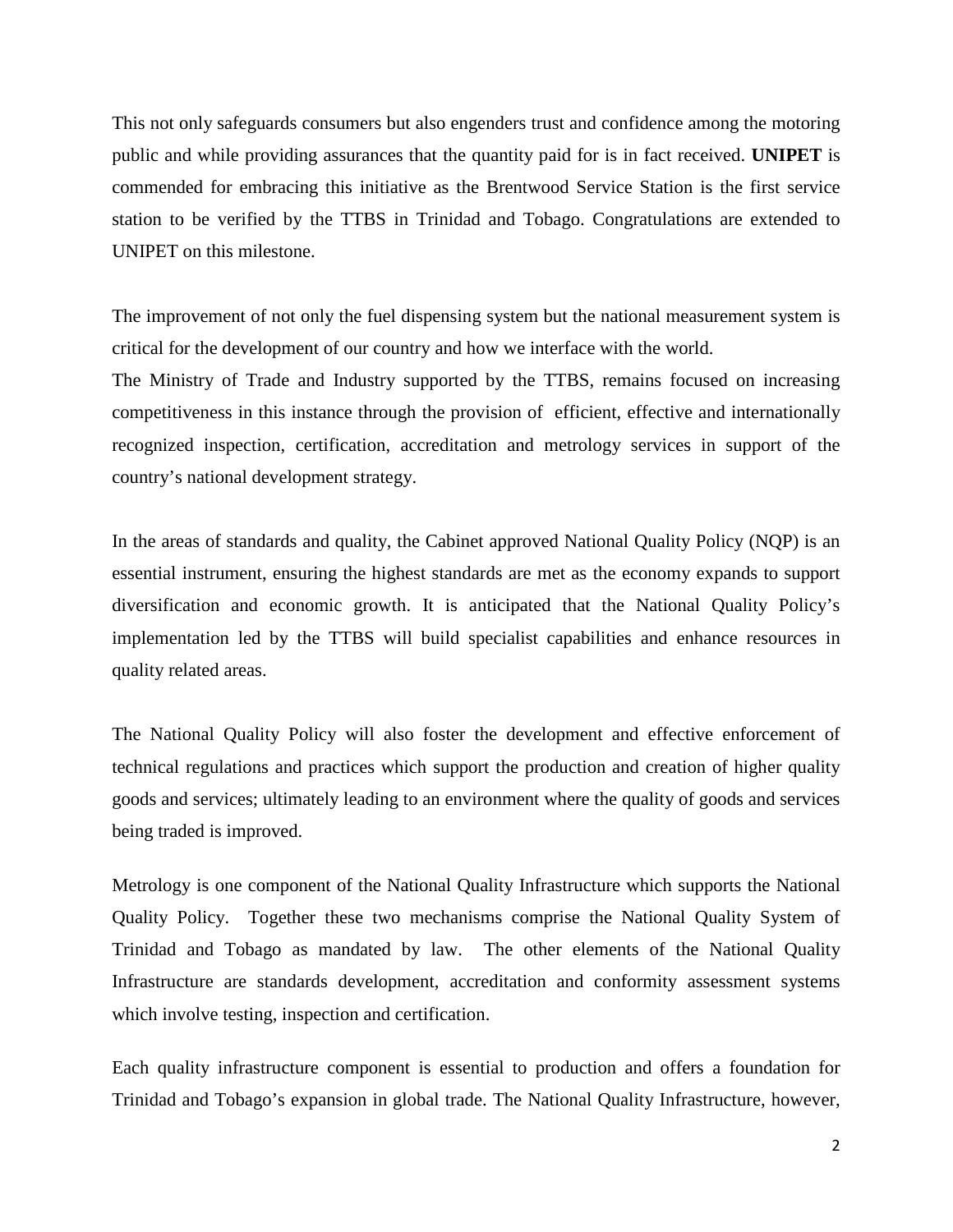This not only safeguards consumers but also engenders trust and confidence among the motoring public and while providing assurances that the quantity paid for is in fact received. **UNIPET** is commended for embracing this initiative as the Brentwood Service Station is the first service station to be verified by the TTBS in Trinidad and Tobago. Congratulations are extended to UNIPET on this milestone.

The improvement of not only the fuel dispensing system but the national measurement system is critical for the development of our country and how we interface with the world.

The Ministry of Trade and Industry supported by the TTBS, remains focused on increasing competitiveness in this instance through the provision of efficient, effective and internationally recognized inspection, certification, accreditation and metrology services in support of the country's national development strategy.

In the areas of standards and quality, the Cabinet approved National Quality Policy (NQP) is an essential instrument, ensuring the highest standards are met as the economy expands to support diversification and economic growth. It is anticipated that the National Quality Policy's implementation led by the TTBS will build specialist capabilities and enhance resources in quality related areas.

The National Quality Policy will also foster the development and effective enforcement of technical regulations and practices which support the production and creation of higher quality goods and services; ultimately leading to an environment where the quality of goods and services being traded is improved.

Metrology is one component of the National Quality Infrastructure which supports the National Quality Policy. Together these two mechanisms comprise the National Quality System of Trinidad and Tobago as mandated by law. The other elements of the National Quality Infrastructure are standards development, accreditation and conformity assessment systems which involve testing, inspection and certification.

Each quality infrastructure component is essential to production and offers a foundation for Trinidad and Tobago's expansion in global trade. The National Quality Infrastructure, however,